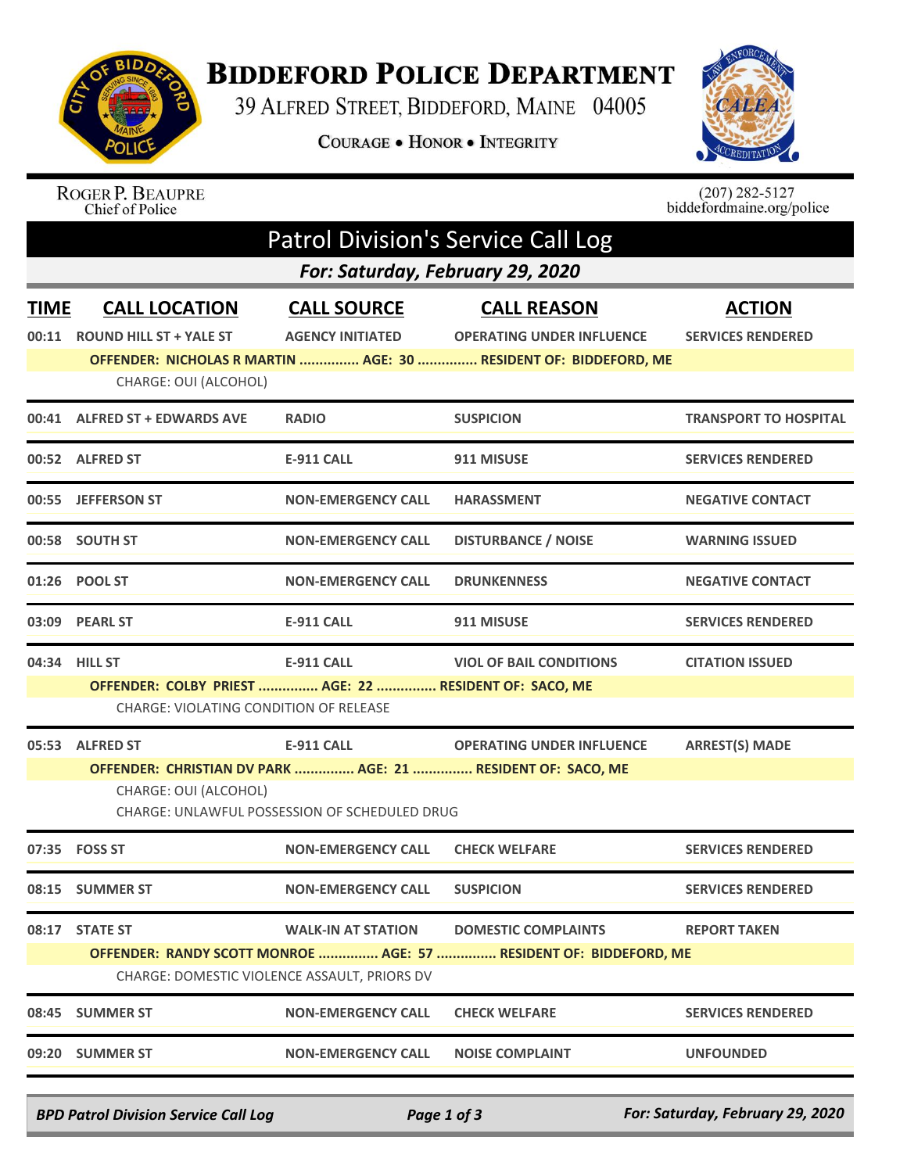

## **BIDDEFORD POLICE DEPARTMENT**

39 ALFRED STREET, BIDDEFORD, MAINE 04005

COURAGE . HONOR . INTEGRITY



ROGER P. BEAUPRE<br>Chief of Police

 $(207)$  282-5127<br>biddefordmaine.org/police

| <b>Patrol Division's Service Call Log</b><br>For: Saturday, February 29, 2020 |                                                                                                                   |                                                                    |                                                                                                                            |                                           |  |  |  |
|-------------------------------------------------------------------------------|-------------------------------------------------------------------------------------------------------------------|--------------------------------------------------------------------|----------------------------------------------------------------------------------------------------------------------------|-------------------------------------------|--|--|--|
| <b>TIME</b><br>00:11                                                          | <b>CALL LOCATION</b><br><b>ROUND HILL ST + YALE ST</b><br>CHARGE: OUI (ALCOHOL)                                   | <b>CALL SOURCE</b><br><b>AGENCY INITIATED</b>                      | <b>CALL REASON</b><br><b>OPERATING UNDER INFLUENCE</b><br>OFFENDER: NICHOLAS R MARTIN  AGE: 30  RESIDENT OF: BIDDEFORD, ME | <b>ACTION</b><br><b>SERVICES RENDERED</b> |  |  |  |
| 00:41                                                                         | <b>ALFRED ST + EDWARDS AVE</b>                                                                                    | <b>RADIO</b>                                                       | <b>SUSPICION</b>                                                                                                           | <b>TRANSPORT TO HOSPITAL</b>              |  |  |  |
|                                                                               | 00:52 ALFRED ST                                                                                                   | <b>E-911 CALL</b>                                                  | 911 MISUSE                                                                                                                 | <b>SERVICES RENDERED</b>                  |  |  |  |
|                                                                               | 00:55 JEFFERSON ST                                                                                                | <b>NON-EMERGENCY CALL</b>                                          | <b>HARASSMENT</b>                                                                                                          | <b>NEGATIVE CONTACT</b>                   |  |  |  |
|                                                                               | 00:58 SOUTH ST                                                                                                    | <b>NON-EMERGENCY CALL</b>                                          | <b>DISTURBANCE / NOISE</b>                                                                                                 | <b>WARNING ISSUED</b>                     |  |  |  |
|                                                                               | 01:26 POOL ST                                                                                                     | <b>NON-EMERGENCY CALL</b>                                          | <b>DRUNKENNESS</b>                                                                                                         | <b>NEGATIVE CONTACT</b>                   |  |  |  |
|                                                                               | 03:09 PEARL ST                                                                                                    | <b>E-911 CALL</b>                                                  | 911 MISUSE                                                                                                                 | <b>SERVICES RENDERED</b>                  |  |  |  |
|                                                                               | 04:34 HILL ST<br>OFFENDER: COLBY PRIEST  AGE: 22  RESIDENT OF: SACO, ME<br>CHARGE: VIOLATING CONDITION OF RELEASE | <b>E-911 CALL</b>                                                  | <b>VIOL OF BAIL CONDITIONS</b>                                                                                             | <b>CITATION ISSUED</b>                    |  |  |  |
|                                                                               | 05:53 ALFRED ST<br>OFFENDER: CHRISTIAN DV PARK  AGE: 21  RESIDENT OF: SACO, ME<br>CHARGE: OUI (ALCOHOL)           | <b>E-911 CALL</b><br>CHARGE: UNLAWFUL POSSESSION OF SCHEDULED DRUG | <b>OPERATING UNDER INFLUENCE</b>                                                                                           | <b>ARREST(S) MADE</b>                     |  |  |  |
| 07:35                                                                         | <b>FOSS ST</b>                                                                                                    | <b>NON-EMERGENCY CALL</b>                                          | <b>CHECK WELFARE</b>                                                                                                       | <b>SERVICES RENDERED</b>                  |  |  |  |
|                                                                               | 08:15 SUMMER ST                                                                                                   | <b>NON-EMERGENCY CALL</b>                                          | <b>SUSPICION</b>                                                                                                           | <b>SERVICES RENDERED</b>                  |  |  |  |
| 08:17                                                                         | <b>STATE ST</b><br>CHARGE: DOMESTIC VIOLENCE ASSAULT, PRIORS DV                                                   | <b>WALK-IN AT STATION</b>                                          | <b>DOMESTIC COMPLAINTS</b><br>OFFENDER: RANDY SCOTT MONROE  AGE: 57  RESIDENT OF: BIDDEFORD, ME                            | <b>REPORT TAKEN</b>                       |  |  |  |
| 08:45                                                                         | <b>SUMMER ST</b>                                                                                                  | <b>NON-EMERGENCY CALL</b>                                          | <b>CHECK WELFARE</b>                                                                                                       | <b>SERVICES RENDERED</b>                  |  |  |  |
|                                                                               | 09:20 SUMMER ST                                                                                                   | <b>NON-EMERGENCY CALL</b>                                          | <b>NOISE COMPLAINT</b>                                                                                                     | <b>UNFOUNDED</b>                          |  |  |  |

*BPD Patrol Division Service Call Log Page 1 of 3 For: Saturday, February 29, 2020*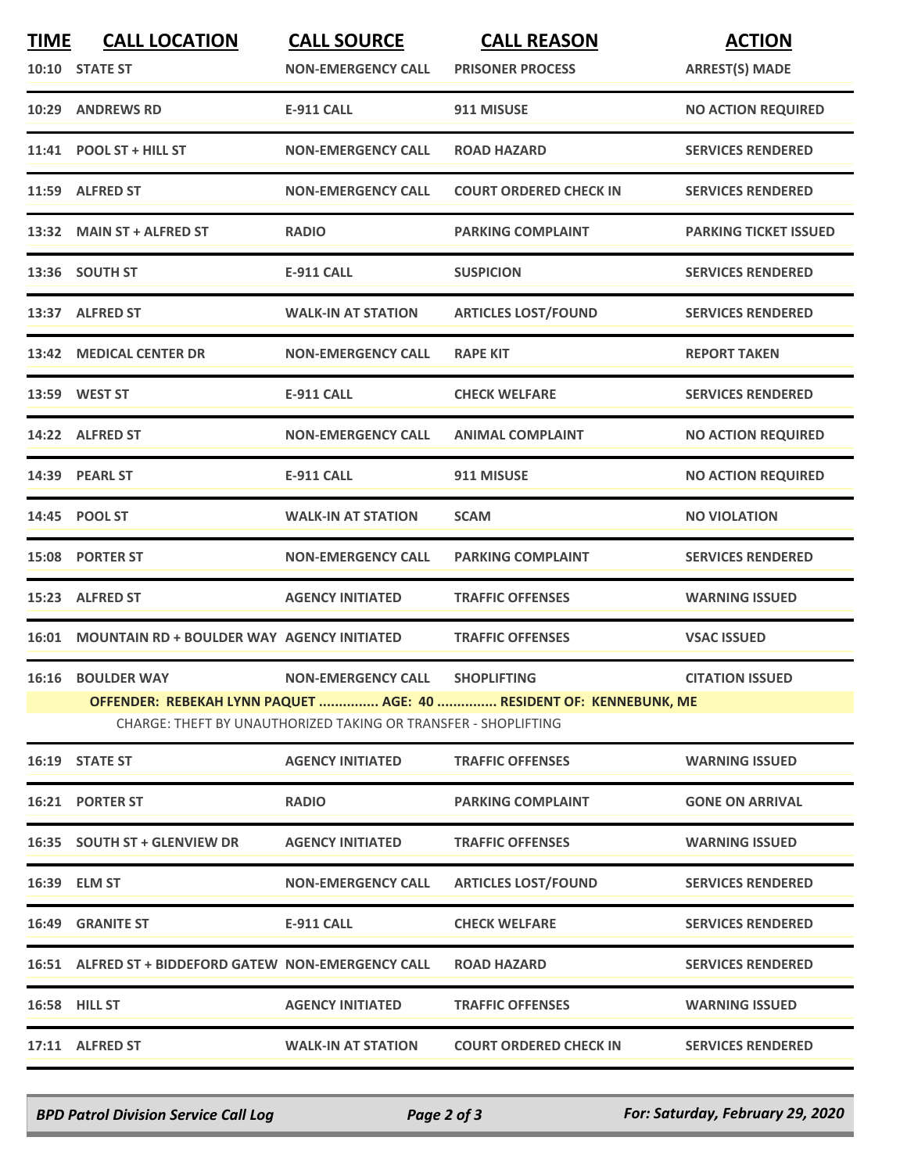| <b>TIME</b> | <b>CALL LOCATION</b>                                 | <b>CALL SOURCE</b>                                                                          | <b>CALL REASON</b>                                                                       | <b>ACTION</b>                |
|-------------|------------------------------------------------------|---------------------------------------------------------------------------------------------|------------------------------------------------------------------------------------------|------------------------------|
|             | 10:10 STATE ST                                       | <b>NON-EMERGENCY CALL</b>                                                                   | <b>PRISONER PROCESS</b>                                                                  | <b>ARREST(S) MADE</b>        |
|             | 10:29 ANDREWS RD                                     | <b>E-911 CALL</b>                                                                           | 911 MISUSE                                                                               | <b>NO ACTION REQUIRED</b>    |
|             | 11:41 POOL ST + HILL ST                              | <b>NON-EMERGENCY CALL</b>                                                                   | <b>ROAD HAZARD</b>                                                                       | <b>SERVICES RENDERED</b>     |
|             | 11:59 ALFRED ST                                      | <b>NON-EMERGENCY CALL</b>                                                                   | <b>COURT ORDERED CHECK IN</b>                                                            | <b>SERVICES RENDERED</b>     |
|             | 13:32 MAIN ST + ALFRED ST                            | <b>RADIO</b>                                                                                | <b>PARKING COMPLAINT</b>                                                                 | <b>PARKING TICKET ISSUED</b> |
|             | 13:36 SOUTH ST                                       | <b>E-911 CALL</b>                                                                           | <b>SUSPICION</b>                                                                         | <b>SERVICES RENDERED</b>     |
|             | 13:37 ALFRED ST                                      | <b>WALK-IN AT STATION</b>                                                                   | <b>ARTICLES LOST/FOUND</b>                                                               | <b>SERVICES RENDERED</b>     |
|             | 13:42 MEDICAL CENTER DR                              | <b>NON-EMERGENCY CALL</b>                                                                   | <b>RAPE KIT</b>                                                                          | <b>REPORT TAKEN</b>          |
|             | 13:59 WEST ST                                        | <b>E-911 CALL</b>                                                                           | <b>CHECK WELFARE</b>                                                                     | <b>SERVICES RENDERED</b>     |
|             | 14:22 ALFRED ST                                      | <b>NON-EMERGENCY CALL</b>                                                                   | <b>ANIMAL COMPLAINT</b>                                                                  | <b>NO ACTION REQUIRED</b>    |
|             | 14:39 PEARL ST                                       | <b>E-911 CALL</b>                                                                           | 911 MISUSE                                                                               | <b>NO ACTION REQUIRED</b>    |
|             | 14:45 POOL ST                                        | <b>WALK-IN AT STATION</b>                                                                   | <b>SCAM</b>                                                                              | <b>NO VIOLATION</b>          |
|             | 15:08 PORTER ST                                      | <b>NON-EMERGENCY CALL</b>                                                                   | <b>PARKING COMPLAINT</b>                                                                 | <b>SERVICES RENDERED</b>     |
| 15:23       | <b>ALFRED ST</b>                                     | <b>AGENCY INITIATED</b>                                                                     | <b>TRAFFIC OFFENSES</b>                                                                  | <b>WARNING ISSUED</b>        |
|             | 16:01 MOUNTAIN RD + BOULDER WAY AGENCY INITIATED     |                                                                                             | <b>TRAFFIC OFFENSES</b>                                                                  | <b>VSAC ISSUED</b>           |
|             | <b>16:16 BOULDER WAY</b>                             | <b>NON-EMERGENCY CALL</b><br>CHARGE: THEFT BY UNAUTHORIZED TAKING OR TRANSFER - SHOPLIFTING | <b>SHOPLIFTING</b><br>OFFENDER: REBEKAH LYNN PAQUET  AGE: 40  RESIDENT OF: KENNEBUNK, ME | <b>CITATION ISSUED</b>       |
|             | 16:19 STATE ST                                       | <b>AGENCY INITIATED</b>                                                                     | <b>TRAFFIC OFFENSES</b>                                                                  | <b>WARNING ISSUED</b>        |
|             | 16:21 PORTER ST                                      | <b>RADIO</b>                                                                                | <b>PARKING COMPLAINT</b>                                                                 | <b>GONE ON ARRIVAL</b>       |
|             | 16:35 SOUTH ST + GLENVIEW DR                         | <b>AGENCY INITIATED</b>                                                                     | <b>TRAFFIC OFFENSES</b>                                                                  | <b>WARNING ISSUED</b>        |
|             | 16:39 ELM ST                                         | <b>NON-EMERGENCY CALL</b>                                                                   | <b>ARTICLES LOST/FOUND</b>                                                               | <b>SERVICES RENDERED</b>     |
|             | <b>16:49 GRANITE ST</b>                              | <b>E-911 CALL</b>                                                                           | <b>CHECK WELFARE</b>                                                                     | <b>SERVICES RENDERED</b>     |
|             | 16:51 ALFRED ST + BIDDEFORD GATEW NON-EMERGENCY CALL |                                                                                             | <b>ROAD HAZARD</b>                                                                       | <b>SERVICES RENDERED</b>     |
|             | 16:58 HILL ST                                        | <b>AGENCY INITIATED</b>                                                                     | <b>TRAFFIC OFFENSES</b>                                                                  | <b>WARNING ISSUED</b>        |
|             | 17:11 ALFRED ST                                      | <b>WALK-IN AT STATION</b>                                                                   | <b>COURT ORDERED CHECK IN</b>                                                            | <b>SERVICES RENDERED</b>     |
|             |                                                      |                                                                                             |                                                                                          |                              |

*BPD Patrol Division Service Call Log Page 2 of 3 For: Saturday, February 29, 2020*